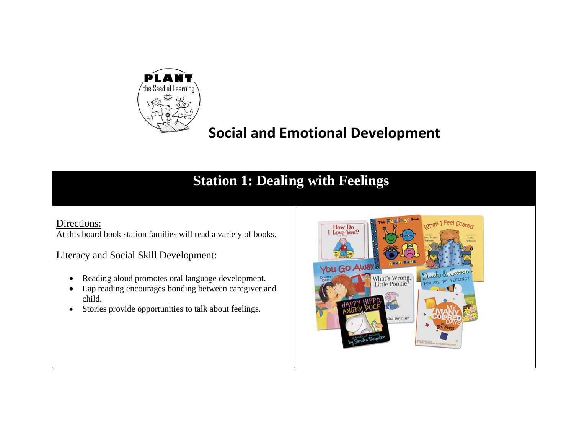

# **Social and Emotional Development**

## **Station 1: Dealing with Feelings**

#### Directions:

At this board book station families will read a variety of books.

#### Literacy and Social Skill Development:

- Reading aloud promotes oral language development.
- Lap reading encourages bonding between caregiver and child.
- Stories provide opportunities to talk about feelings.

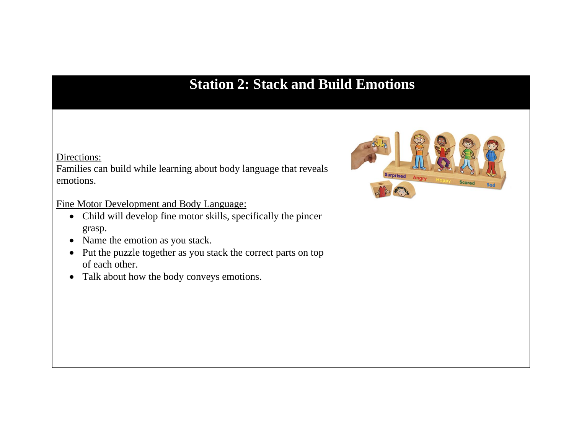### **Station 2: Stack and Build Emotions**

#### Directions:

Families can build while learning about body language that reveals emotions.

Fine Motor Development and Body Language:

- Child will develop fine motor skills, specifically the pincer grasp.
- Name the emotion as you stack.
- Put the puzzle together as you stack the correct parts on top of each other.
- Talk about how the body conveys emotions.

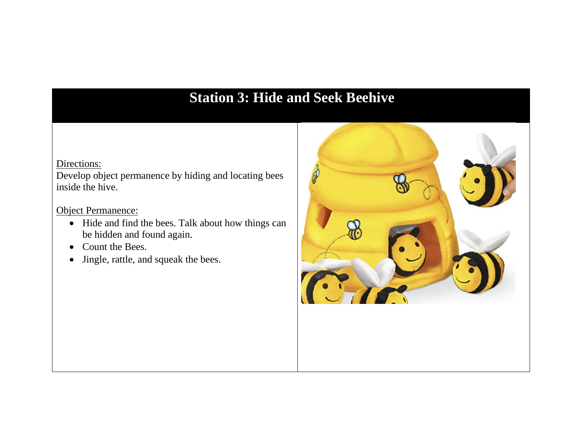## **Station 3: Hide and Seek Beehive**

#### Directions:

Develop object permanence by hiding and locating bees inside the hive.

Object Permanence:

- Hide and find the bees. Talk about how things can be hidden and found again.
- Count the Bees.
- Jingle, rattle, and squeak the bees.

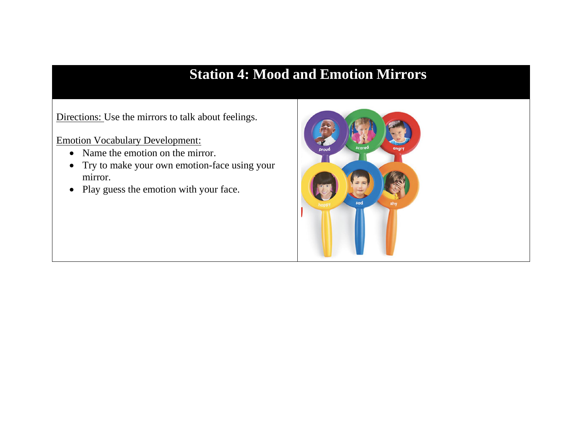### **Station 4: Mood and Emotion Mirrors**

Directions: Use the mirrors to talk about feelings.

Emotion Vocabulary Development:

- Name the emotion on the mirror.
- Try to make your own emotion-face using your mirror.
- Play guess the emotion with your face.